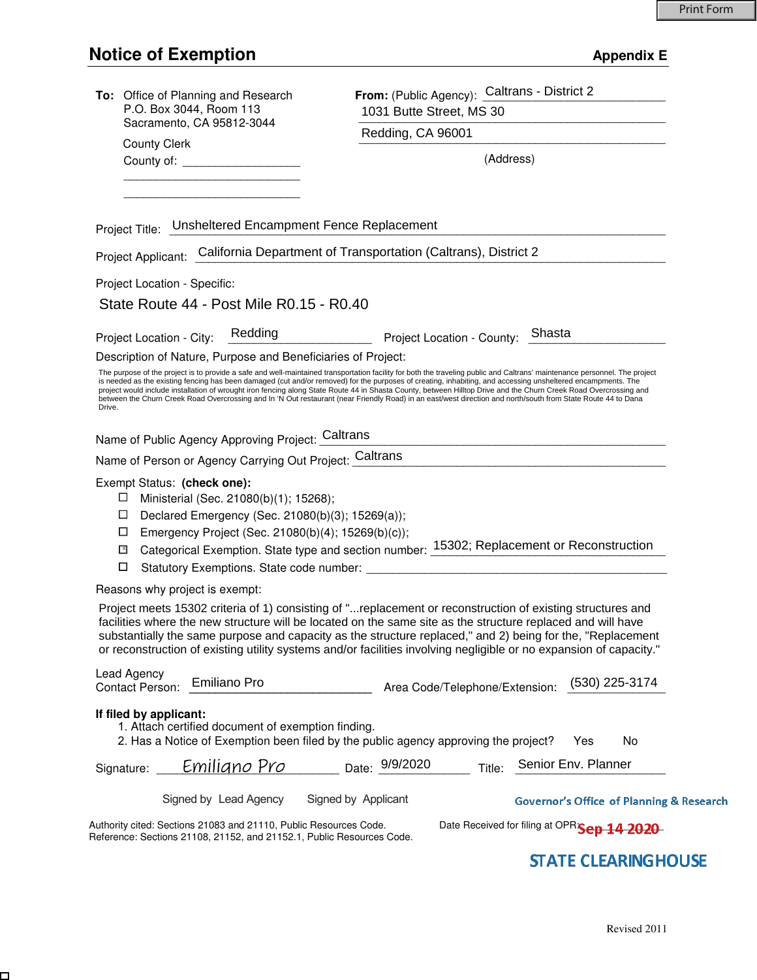$\Box$ 

| To: Office of Planning and Research<br>P.O. Box 3044, Room 113                                                                                                                                                           | From: (Public Agency): Caltrans - District 2<br>1031 Butte Street, MS 30                                                                                                                                                                                                                                                                                                                                                                                                                                                                                                                                                                                                         |  |
|--------------------------------------------------------------------------------------------------------------------------------------------------------------------------------------------------------------------------|----------------------------------------------------------------------------------------------------------------------------------------------------------------------------------------------------------------------------------------------------------------------------------------------------------------------------------------------------------------------------------------------------------------------------------------------------------------------------------------------------------------------------------------------------------------------------------------------------------------------------------------------------------------------------------|--|
| Sacramento, CA 95812-3044                                                                                                                                                                                                | Redding, CA 96001                                                                                                                                                                                                                                                                                                                                                                                                                                                                                                                                                                                                                                                                |  |
| <b>County Clerk</b><br>County of: _____________________                                                                                                                                                                  | (Address)                                                                                                                                                                                                                                                                                                                                                                                                                                                                                                                                                                                                                                                                        |  |
|                                                                                                                                                                                                                          |                                                                                                                                                                                                                                                                                                                                                                                                                                                                                                                                                                                                                                                                                  |  |
| Project Title: Unsheltered Encampment Fence Replacement                                                                                                                                                                  |                                                                                                                                                                                                                                                                                                                                                                                                                                                                                                                                                                                                                                                                                  |  |
| Project Applicant: California Department of Transportation (Caltrans), District 2                                                                                                                                        |                                                                                                                                                                                                                                                                                                                                                                                                                                                                                                                                                                                                                                                                                  |  |
| Project Location - Specific:                                                                                                                                                                                             |                                                                                                                                                                                                                                                                                                                                                                                                                                                                                                                                                                                                                                                                                  |  |
| State Route 44 - Post Mile R0.15 - R0.40                                                                                                                                                                                 |                                                                                                                                                                                                                                                                                                                                                                                                                                                                                                                                                                                                                                                                                  |  |
| Redding<br>Project Location - City:                                                                                                                                                                                      | Project Location - County: Shasta                                                                                                                                                                                                                                                                                                                                                                                                                                                                                                                                                                                                                                                |  |
| Description of Nature, Purpose and Beneficiaries of Project:                                                                                                                                                             |                                                                                                                                                                                                                                                                                                                                                                                                                                                                                                                                                                                                                                                                                  |  |
| Drive.                                                                                                                                                                                                                   | The purpose of the project is to provide a safe and well-maintained transportation facility for both the traveling public and Caltrans' maintenance personnel. The project<br>is needed as the existing fencing has been damaged (cut and/or removed) for the purposes of creating, inhabiting, and accessing unsheltered encampments. The<br>project would include installation of wrought iron fencing along State Route 44 in Shasta County, between Hilltop Drive and the Churn Creek Road Overcrossing and<br>between the Churn Creek Road Overcrossing and In 'N Out restaurant (near Friendly Road) in an east/west direction and north/south from State Route 44 to Dana |  |
| Name of Public Agency Approving Project: Caltrans                                                                                                                                                                        |                                                                                                                                                                                                                                                                                                                                                                                                                                                                                                                                                                                                                                                                                  |  |
| Name of Person or Agency Carrying Out Project: Caltrans                                                                                                                                                                  | <u> 2001 - Jan Samuel Barbara, martin da shekara 1992 - Andrea Samuel Barbara (</u>                                                                                                                                                                                                                                                                                                                                                                                                                                                                                                                                                                                              |  |
| Exempt Status: (check one):<br>Ministerial (Sec. 21080(b)(1); 15268);<br>⊔<br>Declared Emergency (Sec. 21080(b)(3); 15269(a));<br>$\Box$<br>□<br>Emergency Project (Sec. 21080(b)(4); 15269(b)(c));<br>$\mathbf{X}$<br>□ | Categorical Exemption. State type and section number: 15302; Replacement or Reconstruction                                                                                                                                                                                                                                                                                                                                                                                                                                                                                                                                                                                       |  |
| Reasons why project is exempt:                                                                                                                                                                                           |                                                                                                                                                                                                                                                                                                                                                                                                                                                                                                                                                                                                                                                                                  |  |
|                                                                                                                                                                                                                          | Project meets 15302 criteria of 1) consisting of "replacement or reconstruction of existing structures and<br>facilities where the new structure will be located on the same site as the structure replaced and will have<br>substantially the same purpose and capacity as the structure replaced," and 2) being for the, "Replacement<br>or reconstruction of existing utility systems and/or facilities involving negligible or no expansion of capacity."                                                                                                                                                                                                                    |  |
| Lead Agency<br><b>Emiliano Pro</b><br><b>Contact Person:</b>                                                                                                                                                             | (530) 225-3174<br>Area Code/Telephone/Extension:                                                                                                                                                                                                                                                                                                                                                                                                                                                                                                                                                                                                                                 |  |
| If filed by applicant:<br>1. Attach certified document of exemption finding.                                                                                                                                             | 2. Has a Notice of Exemption been filed by the public agency approving the project?<br><b>No</b><br>Yes                                                                                                                                                                                                                                                                                                                                                                                                                                                                                                                                                                          |  |
| Signature: <i>Emiliano Pro</i>                                                                                                                                                                                           | Senior Env. Planner<br>Date: 9/9/2020<br>Title:                                                                                                                                                                                                                                                                                                                                                                                                                                                                                                                                                                                                                                  |  |
| Signed by Lead Agency                                                                                                                                                                                                    | Signed by Applicant<br><b>Governor's Office of Planning &amp; Research</b>                                                                                                                                                                                                                                                                                                                                                                                                                                                                                                                                                                                                       |  |
| Authority cited: Sections 21083 and 21110, Public Resources Code.<br>Reference: Sections 21108, 21152, and 21152.1, Public Resources Code.                                                                               | Date Received for filing at OPRSep 14 2020                                                                                                                                                                                                                                                                                                                                                                                                                                                                                                                                                                                                                                       |  |

## **STATE CLEARING HOUSE**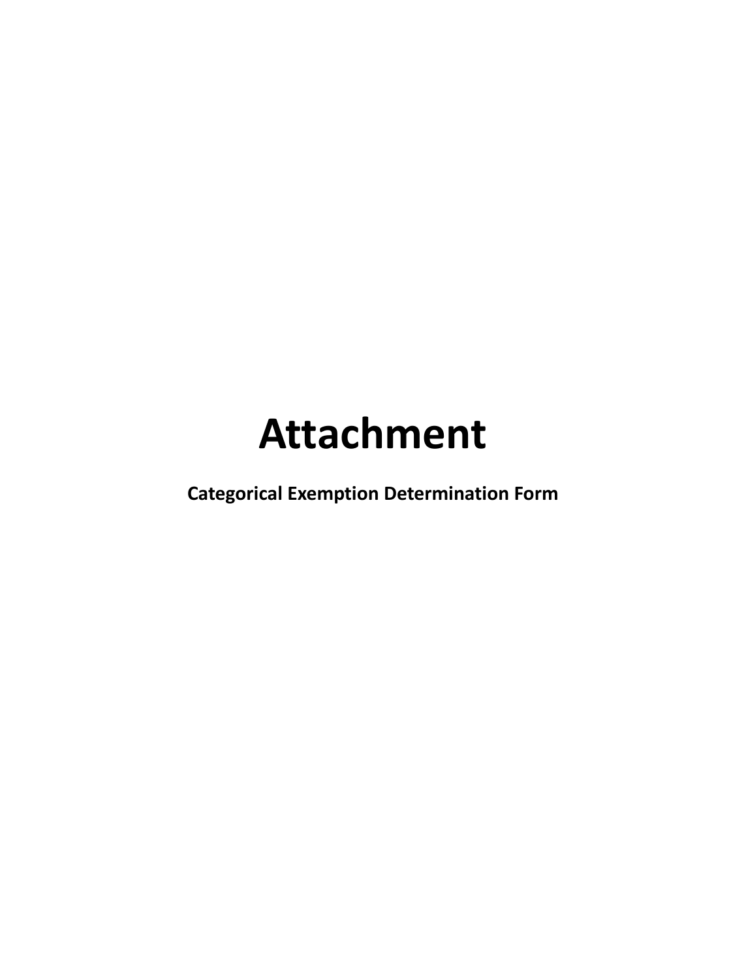# **Attachment**

**Categorical Exemption Determination Form**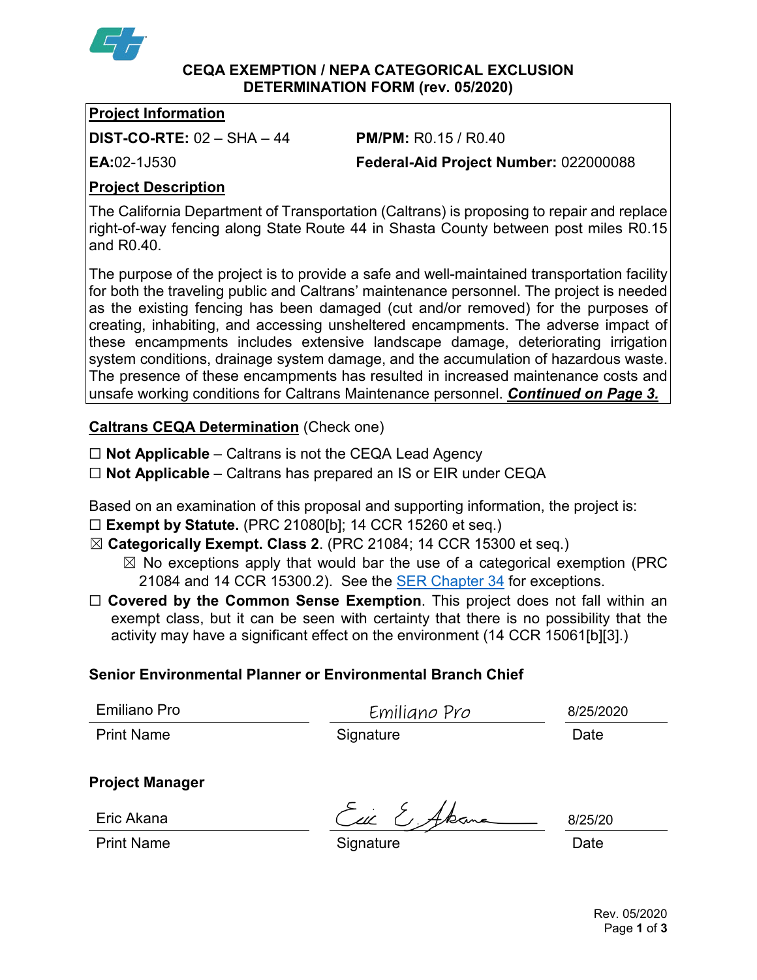

#### **CEQA EXEMPTION / NEPA CATEGORICAL EXCLUSION DETERMINATION FORM (rev. 05/2020)**

#### **Project Information**

**DIST-CO-RTE:** 02 – SHA – 44 **PM/PM:** R0.15 / R0.40

**EA:**02-1J530 **Federal-Aid Project Number:** 022000088

## **Project Description**

The California Department of Transportation (Caltrans) is proposing to repair and replace right-of-way fencing along State Route 44 in Shasta County between post miles R0.15 and R0.40.

The purpose of the project is to provide a safe and well-maintained transportation facility for both the traveling public and Caltrans' maintenance personnel. The project is needed as the existing fencing has been damaged (cut and/or removed) for the purposes of creating, inhabiting, and accessing unsheltered encampments. The adverse impact of these encampments includes extensive landscape damage, deteriorating irrigation system conditions, drainage system damage, and the accumulation of hazardous waste. The presence of these encampments has resulted in increased maintenance costs and unsafe working conditions for Caltrans Maintenance personnel. *Continued on Page 3.*

## **Caltrans CEQA Determination** (Check one)

☐ **Not Applicable** – Caltrans is not the CEQA Lead Agency

☐ **Not Applicable** – Caltrans has prepared an IS or EIR under CEQA

Based on an examination of this proposal and supporting information, the project is:

- ☐ **Exempt by Statute.** (PRC 21080[b]; 14 CCR 15260 et seq.)
- ☒ **Categorically Exempt. Class 2**. (PRC 21084; 14 CCR 15300 et seq.)
	- $\boxtimes$  No exceptions apply that would bar the use of a categorical exemption (PRC 21084 and 14 CCR 15300.2). See the **SER Chapter 34** for exceptions.
- □ **Covered by the Common Sense Exemption**. This project does not fall within an exempt class, but it can be seen with certainty that there is no possibility that the activity may have a significant effect on the environment (14 CCR 15061[b][3].)

### **Senior Environmental Planner or Environmental Branch Chief**

| <b>Emiliano Pro</b> |  |
|---------------------|--|
|---------------------|--|

Emiliano Pro Print Name **Signature Date Date** 

8/25/2020

### **Project Manager**

Eric Akana

Eil E, Akan

8/25/20

Print Name **Signature Construction Date Date**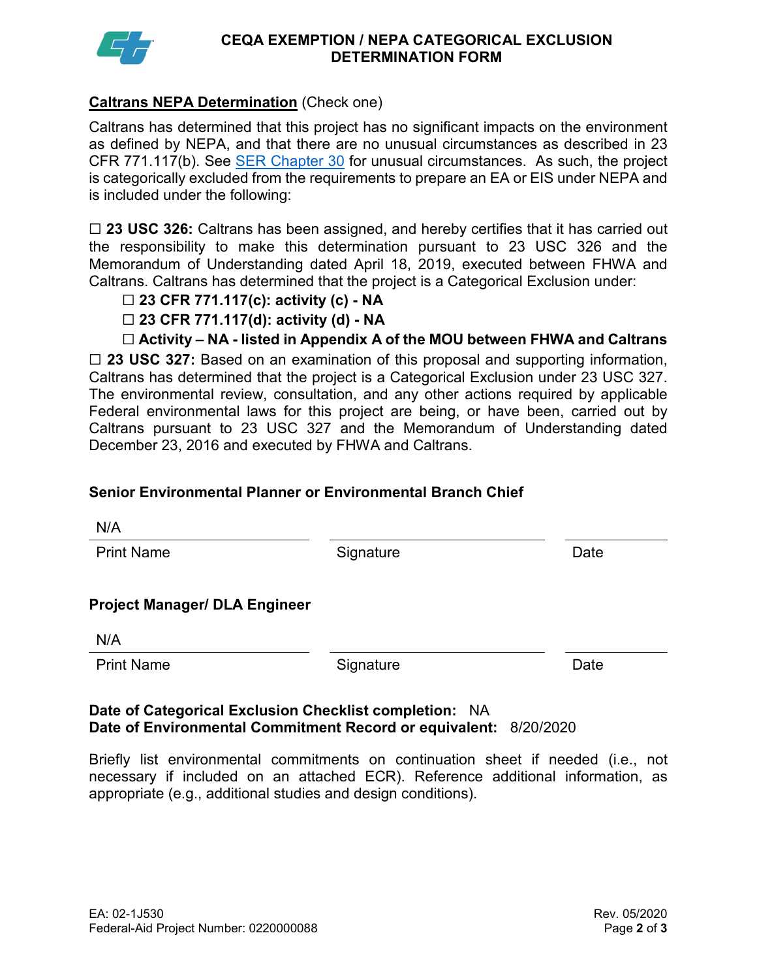

#### **CEQA EXEMPTION / NEPA CATEGORICAL EXCLUSION DETERMINATION FORM**

#### **Caltrans NEPA Determination** (Check one)

Caltrans has determined that this project has no significant impacts on the environment as defined by NEPA, and that there are no unusual circumstances as described in 23 CFR 771.117(b). See [SER Chapter 30](https://dot.ca.gov/programs/environmental-analysis/standard-environmental-reference-ser/volume-1-guidance-for-compliance/ch-30-categorical-exclusions#exception) for unusual circumstances. As such, the project is categorically excluded from the requirements to prepare an EA or EIS under NEPA and is included under the following:

☐ **23 USC 326:** Caltrans has been assigned, and hereby certifies that it has carried out the responsibility to make this determination pursuant to 23 USC 326 and the Memorandum of Understanding dated April 18, 2019, executed between FHWA and Caltrans. Caltrans has determined that the project is a Categorical Exclusion under:

- ☐ **23 CFR 771.117(c): activity (c) - NA**
- ☐ **23 CFR 771.117(d): activity (d) - NA**
- ☐ **Activity – NA - listed in Appendix A of the MOU between FHWA and Caltrans**

□ 23 USC 327: Based on an examination of this proposal and supporting information, Caltrans has determined that the project is a Categorical Exclusion under 23 USC 327. The environmental review, consultation, and any other actions required by applicable Federal environmental laws for this project are being, or have been, carried out by Caltrans pursuant to 23 USC 327 and the Memorandum of Understanding dated December 23, 2016 and executed by FHWA and Caltrans.

#### **Senior Environmental Planner or Environmental Branch Chief**

| N/A                                  |           |      |
|--------------------------------------|-----------|------|
| <b>Print Name</b>                    | Signature | Date |
| <b>Project Manager/ DLA Engineer</b> |           |      |
| N/A                                  |           |      |
| <b>Print Name</b>                    | Signature | Date |
|                                      |           |      |

#### **Date of Categorical Exclusion Checklist completion:** NA **Date of Environmental Commitment Record or equivalent:** 8/20/2020

Briefly list environmental commitments on continuation sheet if needed (i.e., not necessary if included on an attached ECR). Reference additional information, as appropriate (e.g., additional studies and design conditions).